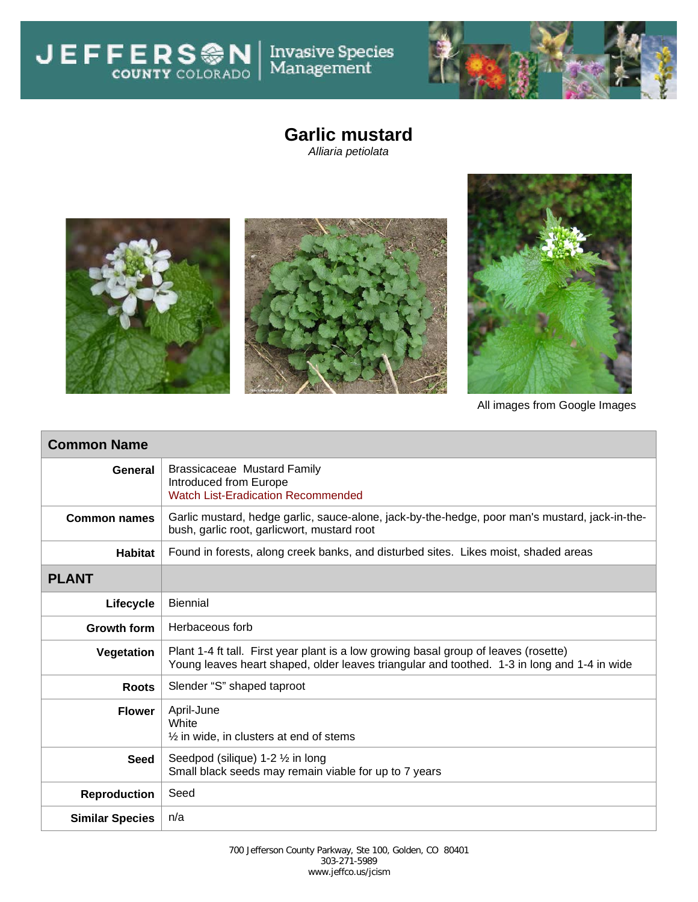Invasive Species<br>Management

**JEFFERSON** 



## **Garlic mustard**

*Alliaria petiolata*



All images from Google Images

| <b>Common Name</b>     |                                                                                                                                                                                     |  |  |  |
|------------------------|-------------------------------------------------------------------------------------------------------------------------------------------------------------------------------------|--|--|--|
| General                | <b>Brassicaceae Mustard Family</b><br>Introduced from Europe<br><b>Watch List-Eradication Recommended</b>                                                                           |  |  |  |
| <b>Common names</b>    | Garlic mustard, hedge garlic, sauce-alone, jack-by-the-hedge, poor man's mustard, jack-in-the-<br>bush, garlic root, garlicwort, mustard root                                       |  |  |  |
| <b>Habitat</b>         | Found in forests, along creek banks, and disturbed sites. Likes moist, shaded areas                                                                                                 |  |  |  |
| <b>PLANT</b>           |                                                                                                                                                                                     |  |  |  |
| Lifecycle              | <b>Biennial</b>                                                                                                                                                                     |  |  |  |
| <b>Growth form</b>     | Herbaceous forb                                                                                                                                                                     |  |  |  |
| Vegetation             | Plant 1-4 ft tall. First year plant is a low growing basal group of leaves (rosette)<br>Young leaves heart shaped, older leaves triangular and toothed. 1-3 in long and 1-4 in wide |  |  |  |
| <b>Roots</b>           | Slender "S" shaped taproot                                                                                                                                                          |  |  |  |
| <b>Flower</b>          | April-June<br>White<br>$\frac{1}{2}$ in wide, in clusters at end of stems                                                                                                           |  |  |  |
| <b>Seed</b>            | Seedpod (silique) 1-2 1/2 in long<br>Small black seeds may remain viable for up to 7 years                                                                                          |  |  |  |
| <b>Reproduction</b>    | Seed                                                                                                                                                                                |  |  |  |
| <b>Similar Species</b> | n/a                                                                                                                                                                                 |  |  |  |